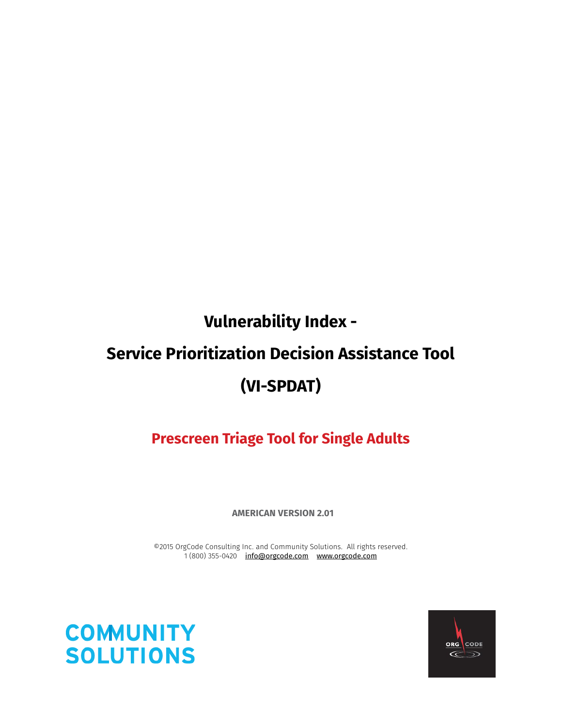# **Vulnerability Index - Service Prioritization Decision Assistance Tool (VI-SPDAT)**

**Prescreen Triage Tool for Single Adults**

**AMERICAN VERSION 2.01**

©2015 OrgCode Consulting Inc. and Community Solutions. All rights reserved. 1 (800) 355-0420 info@orgcode.com www.orgcode.com



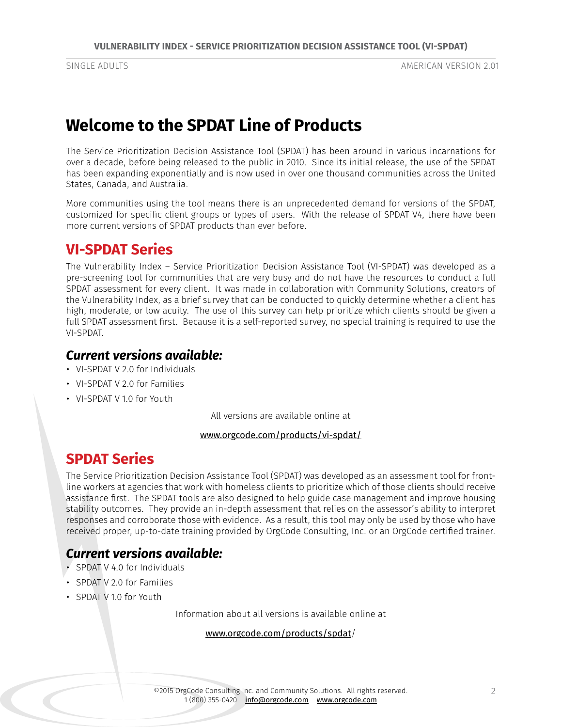## **Welcome to the SPDAT Line of Products**

The Service Prioritization Decision Assistance Tool (SPDAT) has been around in various incarnations for over a decade, before being released to the public in 2010. Since its initial release, the use of the SPDAT has been expanding exponentially and is now used in over one thousand communities across the United States, Canada, and Australia.

More communities using the tool means there is an unprecedented demand for versions of the SPDAT, customized for specific client groups or types of users. With the release of SPDAT V4, there have been more current versions of SPDAT products than ever before.

## **VI-SPDAT Series**

The Vulnerability Index – Service Prioritization Decision Assistance Tool (VI-SPDAT) was developed as a pre-screening tool for communities that are very busy and do not have the resources to conduct a full SPDAT assessment for every client. It was made in collaboration with Community Solutions, creators of the Vulnerability Index, as a brief survey that can be conducted to quickly determine whether a client has high, moderate, or low acuity. The use of this survey can help prioritize which clients should be given a full SPDAT assessment first. Because it is a self-reported survey, no special training is required to use the VI-SPDAT.

## *Current versions available:*

- VI-SPDAT V 2.0 for Individuals
- VI-SPDAT V 2.0 for Families
- VI-SPDAT V 1.0 for Youth

All versions are available online at

## www.orgcode.com/products/vi-spdat/

## **SPDAT Series**

The Service Prioritization Decision Assistance Tool (SPDAT) was developed as an assessment tool for frontline workers at agencies that work with homeless clients to prioritize which of those clients should receive assistance first. The SPDAT tools are also designed to help guide case management and improve housing stability outcomes. They provide an in-depth assessment that relies on the assessor's ability to interpret responses and corroborate those with evidence. As a result, this tool may only be used by those who have received proper, up-to-date training provided by OrgCode Consulting, Inc. or an OrgCode certified trainer.

## *Current versions available:*

- SPDAT V 4.0 for Individuals
- SPDAT V 2.0 for Families
- SPDAT V 1.0 for Youth

Information about all versions is available online at

## www.orgcode.com/products/spdat/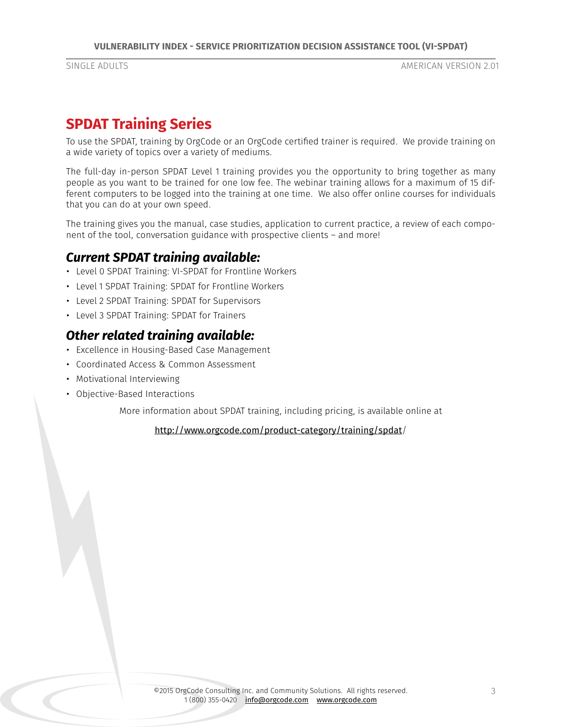## **SPDAT Training Series**

To use the SPDAT, training by OrgCode or an OrgCode certified trainer is required. We provide training on a wide variety of topics over a variety of mediums.

The full-day in-person SPDAT Level 1 training provides you the opportunity to bring together as many people as you want to be trained for one low fee. The webinar training allows for a maximum of 15 different computers to be logged into the training at one time. We also offer online courses for individuals that you can do at your own speed.

The training gives you the manual, case studies, application to current practice, a review of each component of the tool, conversation guidance with prospective clients – and more!

## *Current SPDAT training available:*

- Level 0 SPDAT Training: VI-SPDAT for Frontline Workers
- Level 1 SPDAT Training: SPDAT for Frontline Workers
- Level 2 SPDAT Training: SPDAT for Supervisors
- Level 3 SPDAT Training: SPDAT for Trainers

## *Other related training available:*

- Excellence in Housing-Based Case Management
- Coordinated Access & Common Assessment
- Motivational Interviewing
- Objective-Based Interactions

More information about SPDAT training, including pricing, is available online at

http://www.orgcode.com/product-category/training/spdat/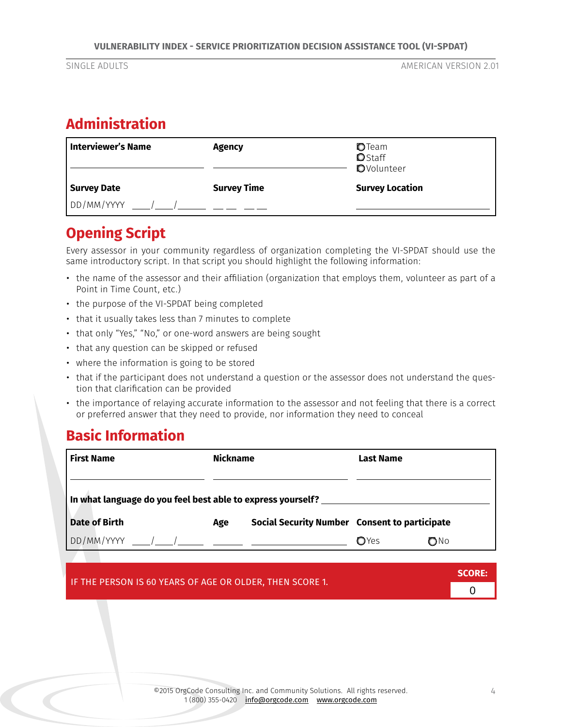## **Administration**

| Interviewer's Name | <b>Agency</b>      | OTeam<br><b>O</b> Staff<br><b>O</b> Volunteer |  |
|--------------------|--------------------|-----------------------------------------------|--|
| <b>Survey Date</b> | <b>Survey Time</b> | <b>Survey Location</b>                        |  |
| DD/MM/YYYY         |                    |                                               |  |

## **Opening Script**

Every assessor in your community regardless of organization completing the VI-SPDAT should use the same introductory script. In that script you should highlight the following information:

- the name of the assessor and their affiliation (organization that employs them, volunteer as part of a Point in Time Count, etc.)
- the purpose of the VI-SPDAT being completed
- that it usually takes less than 7 minutes to complete
- that only "Yes," "No," or one-word answers are being sought
- that any question can be skipped or refused
- where the information is going to be stored
- that if the participant does not understand a question or the assessor does not understand the question that clarification can be provided
- the importance of relaying accurate information to the assessor and not feeling that there is a correct or preferred answer that they need to provide, nor information they need to conceal

## **Basic Information**

| <b>First Name</b>                                           | <b>Nickname</b> |                                               | Last Name    |               |  |  |
|-------------------------------------------------------------|-----------------|-----------------------------------------------|--------------|---------------|--|--|
|                                                             |                 |                                               |              |               |  |  |
| In what language do you feel best able to express yourself? |                 |                                               |              |               |  |  |
| <b>Date of Birth</b>                                        | Age             | Social Security Number Consent to participate |              |               |  |  |
|                                                             |                 |                                               | <b>O</b> Yes | $\bigcirc$ No |  |  |

|                                                          | SCORE: |
|----------------------------------------------------------|--------|
| IF THE PERSON IS 60 YEARS OF AGE OR OLDER, THEN SCORE 1. |        |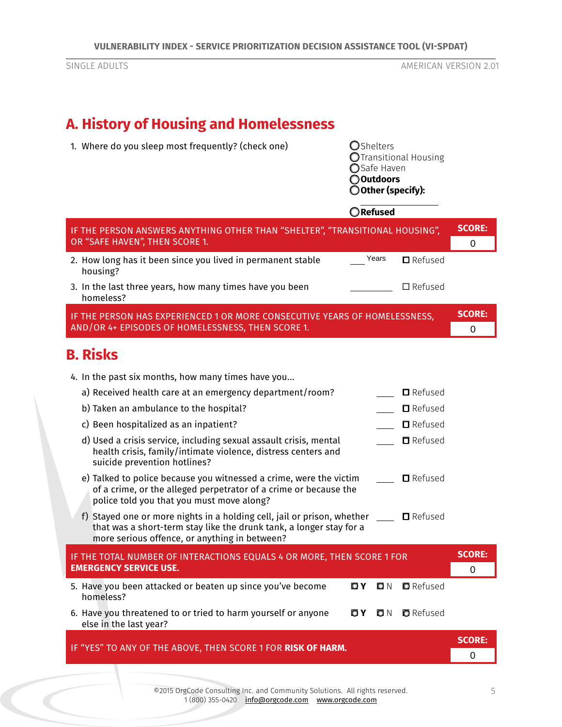# **A. History of Housing and Homelessness**

| 1. Where do you sleep most frequently? (check one)                                                                                                                                              |     | <b>O</b> Shelters<br>○Safe Haven<br>○Outdoors | OTransitional Housing<br>O Other (specify): |                              |
|-------------------------------------------------------------------------------------------------------------------------------------------------------------------------------------------------|-----|-----------------------------------------------|---------------------------------------------|------------------------------|
|                                                                                                                                                                                                 |     | ORefused                                      |                                             |                              |
| IF THE PERSON ANSWERS ANYTHING OTHER THAN "SHELTER", "TRANSITIONAL HOUSING",<br>OR "SAFE HAVEN", THEN SCORE 1.                                                                                  |     |                                               |                                             | <b>SCORE:</b><br>0           |
| 2. How long has it been since you lived in permanent stable<br>housing?                                                                                                                         |     | Years                                         | $\blacksquare$ Refused                      |                              |
| 3. In the last three years, how many times have you been<br>homeless?                                                                                                                           |     |                                               | $\square$ Refused                           |                              |
| IF THE PERSON HAS EXPERIENCED 1 OR MORE CONSECUTIVE YEARS OF HOMELESSNESS,<br>AND/OR 4+ EPISODES OF HOMELESSNESS, THEN SCORE 1.                                                                 |     |                                               |                                             | <b>SCORE:</b><br>0           |
| <b>B. Risks</b>                                                                                                                                                                                 |     |                                               |                                             |                              |
| 4. In the past six months, how many times have you                                                                                                                                              |     |                                               |                                             |                              |
| a) Received health care at an emergency department/room?                                                                                                                                        |     |                                               | $\blacksquare$ Refused                      |                              |
| b) Taken an ambulance to the hospital?                                                                                                                                                          |     |                                               | $\blacksquare$ Refused                      |                              |
| c) Been hospitalized as an inpatient?                                                                                                                                                           |     |                                               | $\blacksquare$ Refused                      |                              |
| d) Used a crisis service, including sexual assault crisis, mental<br>health crisis, family/intimate violence, distress centers and<br>suicide prevention hotlines?                              |     |                                               | $\blacksquare$ Refused                      |                              |
| e) Talked to police because you witnessed a crime, were the victim<br>of a crime, or the alleged perpetrator of a crime or because the<br>police told you that you must move along?             |     |                                               | $\blacksquare$ Refused                      |                              |
| f) Stayed one or more nights in a holding cell, jail or prison, whether<br>that was a short-term stay like the drunk tank, a longer stay for a<br>more serious offence, or anything in between? |     |                                               | $\Box$ Refused                              |                              |
| IF THE TOTAL NUMBER OF INTERACTIONS EQUALS 4 OR MORE, THEN SCORE 1 FOR<br><b>EMERGENCY SERVICE USE.</b>                                                                                         |     |                                               |                                             | <b>SCORE:</b><br>$\mathbf 0$ |
| 5. Have you been attacked or beaten up since you've become<br>homeless?                                                                                                                         | O Y | O N                                           | <b>O</b> Refused                            |                              |
| 6. Have you threatened to or tried to harm yourself or anyone<br>else in the last year?                                                                                                         | O Y | ΟN                                            | <b>O</b> Refused                            |                              |
| IF "YES" TO ANY OF THE ABOVE, THEN SCORE 1 FOR RISK OF HARM.                                                                                                                                    |     |                                               |                                             | <b>SCORE:</b><br>0           |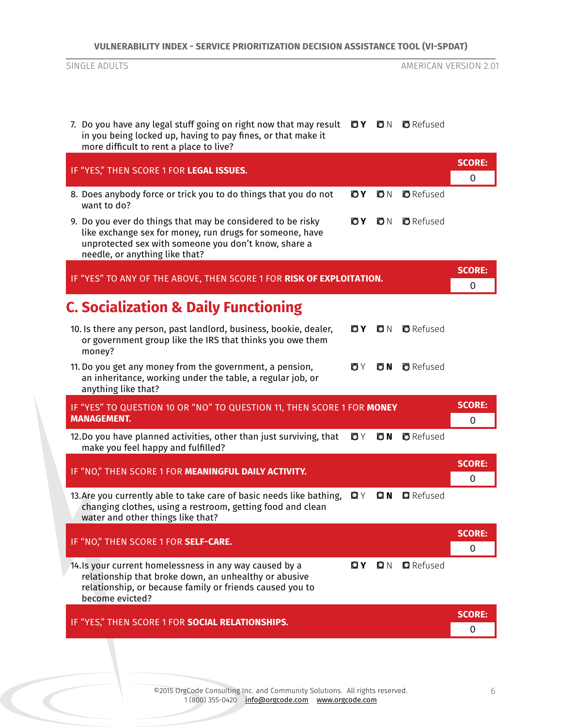| 7. Do you have any legal stuff going on right now that may result $QY$ $QN$ $QN$ $Q$ Refused<br>in you being locked up, having to pay fines, or that make it<br>more difficult to rent a place to live?                        |                    |
|--------------------------------------------------------------------------------------------------------------------------------------------------------------------------------------------------------------------------------|--------------------|
| IF "YES," THEN SCORE 1 FOR LEGAL ISSUES.                                                                                                                                                                                       | <b>SCORE:</b><br>0 |
| 8. Does anybody force or trick you to do things that you do not<br>O Y<br>O N<br>want to do?                                                                                                                                   | <b>O</b> Refused   |
| 9. Do you ever do things that may be considered to be risky<br>OΥ<br>O N<br>like exchange sex for money, run drugs for someone, have<br>unprotected sex with someone you don't know, share a<br>needle, or anything like that? | <b>D</b> Refused   |
| IF "YES" TO ANY OF THE ABOVE, THEN SCORE 1 FOR RISK OF EXPLOITATION.                                                                                                                                                           | <b>SCORE:</b><br>0 |
| <b>C. Socialization &amp; Daily Functioning</b>                                                                                                                                                                                |                    |
| 10. Is there any person, past landlord, business, bookie, dealer,<br>O Y<br>O N<br>or government group like the IRS that thinks you owe them<br>money?                                                                         | <b>D</b> Refused   |
| $ON$ $O$ Refused<br>11. Do you get any money from the government, a pension,<br>OΥ<br>an inheritance, working under the table, a regular job, or<br>anything like that?                                                        |                    |
| IF "YES" TO QUESTION 10 OR "NO" TO QUESTION 11, THEN SCORE 1 FOR MONEY<br><b>MANAGEMENT.</b>                                                                                                                                   | <b>SCORE:</b><br>0 |
| 12.Do you have planned activities, other than just surviving, that<br>ΟY<br>O N<br>make you feel happy and fulfilled?                                                                                                          | <b>O</b> Refused   |
| IF "NO," THEN SCORE 1 FOR MEANINGFUL DAILY ACTIVITY.                                                                                                                                                                           | <b>SCORE:</b><br>0 |
| 13. Are you currently able to take care of basic needs like bathing,<br>O Y<br><b>QN Q</b> Refused<br>changing clothes, using a restroom, getting food and clean<br>water and other things like that?                          |                    |
| IF "NO," THEN SCORE 1 FOR SELF-CARE.                                                                                                                                                                                           | <b>SCORE:</b><br>0 |
| 14. Is your current homelessness in any way caused by a<br>QY Q N Q Refused<br>relationship that broke down, an unhealthy or abusive<br>relationship, or because family or friends caused you to<br>become evicted?            |                    |
| IF "YES," THEN SCORE 1 FOR SOCIAL RELATIONSHIPS.                                                                                                                                                                               | <b>SCORE:</b><br>0 |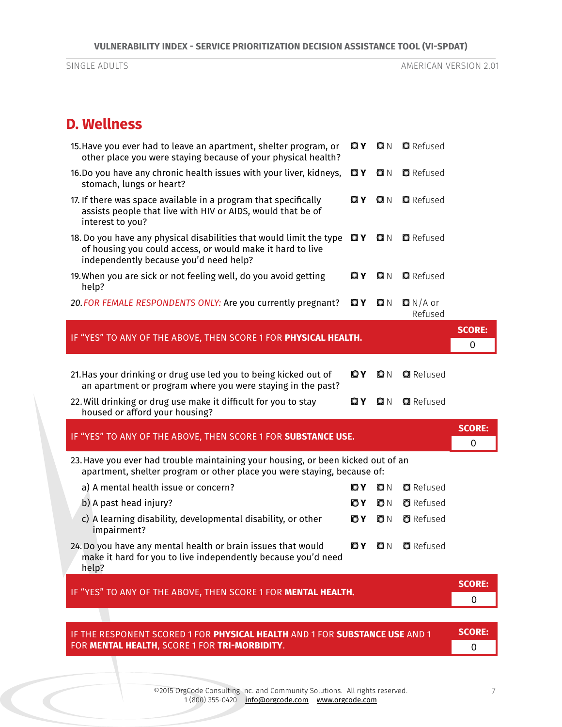## **D. Wellness**

| 15. Have you ever had to leave an apartment, shelter program, or<br>other place you were staying because of your physical health?                                                         | OΥ  | Q N | <b>Q</b> Refused     |               |
|-------------------------------------------------------------------------------------------------------------------------------------------------------------------------------------------|-----|-----|----------------------|---------------|
| 16.Do you have any chronic health issues with your liver, kidneys,<br>stomach, lungs or heart?                                                                                            | O Y | O N | <b>Q</b> Refused     |               |
| 17. If there was space available in a program that specifically<br>assists people that live with HIV or AIDS, would that be of<br>interest to you?                                        | OΥ  | O N | <b>Q</b> Refused     |               |
| 18. Do you have any physical disabilities that would limit the type $Q\mathbf{Y}$<br>of housing you could access, or would make it hard to live<br>independently because you'd need help? |     | Q N | <b>Q</b> Refused     |               |
| 19. When you are sick or not feeling well, do you avoid getting<br>help?                                                                                                                  | OΥ  | O N | <b>Q</b> Refused     |               |
| 20. FOR FEMALE RESPONDENTS ONLY: Are you currently pregnant?                                                                                                                              | OΥ  | O N | $ON/A$ or<br>Refused |               |
| IF "YES" TO ANY OF THE ABOVE, THEN SCORE 1 FOR PHYSICAL HEALTH.                                                                                                                           |     |     |                      | <b>SCORE:</b> |
|                                                                                                                                                                                           |     |     |                      | 0             |
| 21. Has your drinking or drug use led you to being kicked out of<br>an apartment or program where you were staying in the past?                                                           | OΥ  | O N | <b>Q</b> Refused     |               |
| 22. Will drinking or drug use make it difficult for you to stay<br>housed or afford your housing?                                                                                         | OΥ  | O N | <b>Q</b> Refused     |               |
| IF "YES" TO ANY OF THE ABOVE, THEN SCORE 1 FOR SUBSTANCE USE.                                                                                                                             |     |     |                      | <b>SCORE:</b> |
|                                                                                                                                                                                           |     |     |                      | 0             |
| 23. Have you ever had trouble maintaining your housing, or been kicked out of an<br>apartment, shelter program or other place you were staying, because of:                               |     |     |                      |               |
| a) A mental health issue or concern?                                                                                                                                                      | OΥ  | ON  | <b>O</b> Refused     |               |
| b) A past head injury?                                                                                                                                                                    | OΥ  | ON  | <b>O</b> Refused     |               |
| c) A learning disability, developmental disability, or other<br>impairment?                                                                                                               | ΟY  | ON  | <b>a</b> Refused     |               |
| 24. Do you have any mental health or brain issues that would<br>make it hard for you to live independently because you'd need<br>help?                                                    | OY  | O N | <b>Q</b> Refused     |               |
|                                                                                                                                                                                           |     |     |                      | <b>SCORE:</b> |
| IF "YES" TO ANY OF THE ABOVE, THEN SCORE 1 FOR MENTAL HEALTH.                                                                                                                             |     |     |                      | 0             |
|                                                                                                                                                                                           |     |     |                      |               |
| IF THE RESPONENT SCORED 1 FOR PHYSICAL HEALTH AND 1 FOR SUBSTANCE USE AND 1                                                                                                               |     |     |                      | <b>SCORE:</b> |

IF THE RESPONENT SCORED 1 FOR **PHYSICAL HEALTH** AND 1 FOR **SUBSTANCE USE** AND 1 FOR **MENTAL HEALTH**, SCORE 1 FOR **TRI-MORBIDITY**.

0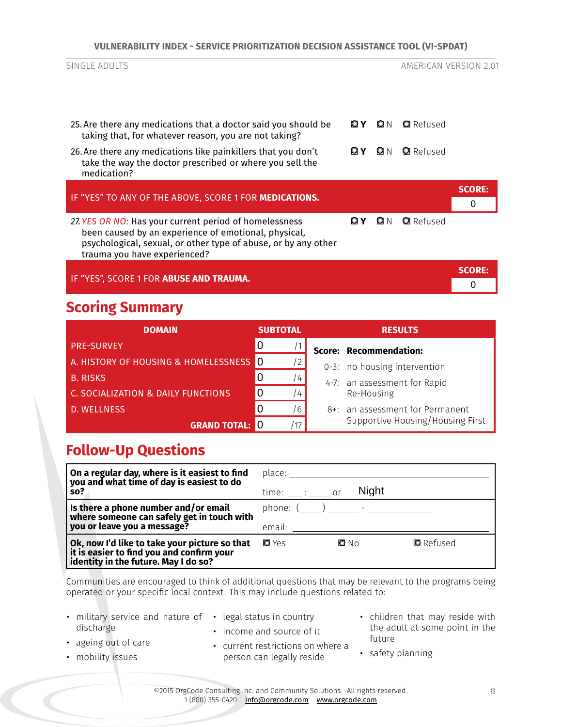|  |  | VULNERABILITY INDEX - SERVICE PRIORITIZATION DECISION ASSISTANCE TOOL (VI-SPDAT) |  |
|--|--|----------------------------------------------------------------------------------|--|
|--|--|----------------------------------------------------------------------------------|--|

| SINGLE ADULTS                                                                                                                                                                                                    |       |            | AMERICAN VERSION 2.01 |                    |
|------------------------------------------------------------------------------------------------------------------------------------------------------------------------------------------------------------------|-------|------------|-----------------------|--------------------|
| 25. Are there any medications that a doctor said you should be<br>taking that, for whatever reason, you are not taking?                                                                                          | O Y O | Q N        | <b>Q</b> Refused      |                    |
| 26. Are there any medications like painkillers that you don't<br>take the way the doctor prescribed or where you sell the<br>medication?                                                                         | ΟI Y  | <b>PIN</b> | <b>Q</b> Refused      |                    |
| IF "YES" TO ANY OF THE ABOVE, SCORE 1 FOR MEDICATIONS.                                                                                                                                                           |       |            |                       | <b>SCORE:</b><br>0 |
| 27. YES OR NO: Has your current period of homelessness<br>been caused by an experience of emotional, physical,<br>psychological, sexual, or other type of abuse, or by any other<br>trauma you have experienced? | OΙY   | ΩN         | <b>Q</b> Refused      |                    |
| IF "YES", SCORE 1 FOR ABUSE AND TRAUMA.                                                                                                                                                                          |       |            |                       | <b>SCORE:</b>      |
| <b>Scoring Summary</b>                                                                                                                                                                                           |       |            |                       |                    |

#### **DOMAIN SUBTOTAL RESULTS** PRE-SURVEY /1 **Score: Recommendation:** 0-3: no housing intervention 4-7: an assessment for Rapid Re-Housing 8+: an assessment for Permanent Supportive Housing/Housing First A. HISTORY OF HOUSING & HOMELESSNESS <mark>O the tradition</mark> **B. RISKS 1999 B. RISKS 1999 B. RISKS** C. SOCIALIZATION & DAILY FUNCTIONS  $\vert$  0  $\vert$  /4 D. WELLNESS **DESCRIPTION OF A SECOND CONTROL GRAND TOTAL:** 0 /17  $\Omega$ 0 0 0

## **Follow-Up Questions**

| $\vert$ On a regular day, where is it easiest to find<br>you and what time of day is easiest to do<br>SO <sub>2</sub>                | place: the political property of the political property of the property of the political property of the political property of the political property of the political property of the political property of the political pro<br>$time:$ : _______ or | <b>Night</b> |                  |
|--------------------------------------------------------------------------------------------------------------------------------------|--------------------------------------------------------------------------------------------------------------------------------------------------------------------------------------------------------------------------------------------------------|--------------|------------------|
| Is there a phone number and/or email<br>where someone can safely get in touch with<br>you or leave you a message?                    | phone: $($ ) -<br>email:                                                                                                                                                                                                                               |              |                  |
| Ok, now I'd like to take your picture so that<br>  it is easier to find you and confirm your<br>identity in the future. May I do so? | <b>O</b> Yes                                                                                                                                                                                                                                           | O No         | <b>Q</b> Refused |

Communities are encouraged to think of additional questions that may be relevant to the programs being operated or your specific local context. This may include questions related to:

| • military service and nature of |  |  |
|----------------------------------|--|--|
| discharge                        |  |  |

- legal status in country
- 
- 
- ageing out of care
- income and source of it
- children that may reside with the adult at some point in the future
- mobility issues
- current restrictions on where a person can legally reside
- safety planning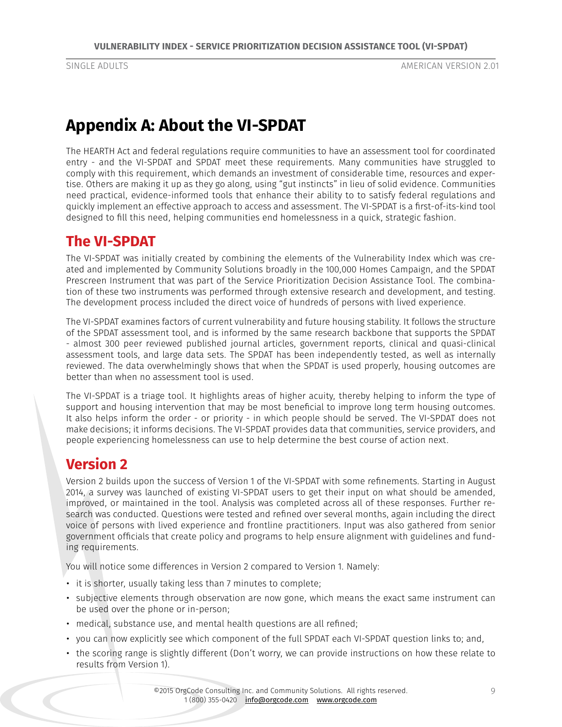## **Appendix A: About the VI-SPDAT**

The HEARTH Act and federal regulations require communities to have an assessment tool for coordinated entry - and the VI-SPDAT and SPDAT meet these requirements. Many communities have struggled to comply with this requirement, which demands an investment of considerable time, resources and expertise. Others are making it up as they go along, using "gut instincts" in lieu of solid evidence. Communities need practical, evidence-informed tools that enhance their ability to to satisfy federal regulations and quickly implement an effective approach to access and assessment. The VI-SPDAT is a first-of-its-kind tool designed to fill this need, helping communities end homelessness in a quick, strategic fashion.

## **The VI-SPDAT**

The VI-SPDAT was initially created by combining the elements of the Vulnerability Index which was created and implemented by Community Solutions broadly in the 100,000 Homes Campaign, and the SPDAT Prescreen Instrument that was part of the Service Prioritization Decision Assistance Tool. The combination of these two instruments was performed through extensive research and development, and testing. The development process included the direct voice of hundreds of persons with lived experience.

The VI-SPDAT examines factors of current vulnerability and future housing stability. It follows the structure of the SPDAT assessment tool, and is informed by the same research backbone that supports the SPDAT - almost 300 peer reviewed published journal articles, government reports, clinical and quasi-clinical assessment tools, and large data sets. The SPDAT has been independently tested, as well as internally reviewed. The data overwhelmingly shows that when the SPDAT is used properly, housing outcomes are better than when no assessment tool is used.

The VI-SPDAT is a triage tool. It highlights areas of higher acuity, thereby helping to inform the type of support and housing intervention that may be most beneficial to improve long term housing outcomes. It also helps inform the order - or priority - in which people should be served. The VI-SPDAT does not make decisions; it informs decisions. The VI-SPDAT provides data that communities, service providers, and people experiencing homelessness can use to help determine the best course of action next.

## **Version 2**

Version 2 builds upon the success of Version 1 of the VI-SPDAT with some refinements. Starting in August 2014, a survey was launched of existing VI-SPDAT users to get their input on what should be amended, improved, or maintained in the tool. Analysis was completed across all of these responses. Further research was conducted. Questions were tested and refined over several months, again including the direct voice of persons with lived experience and frontline practitioners. Input was also gathered from senior government officials that create policy and programs to help ensure alignment with guidelines and funding requirements.

You will notice some differences in Version 2 compared to Version 1. Namely:

- it is shorter, usually taking less than 7 minutes to complete;
- subjective elements through observation are now gone, which means the exact same instrument can be used over the phone or in-person;
- medical, substance use, and mental health questions are all refined;
- you can now explicitly see which component of the full SPDAT each VI-SPDAT question links to; and,
- the scoring range is slightly different (Don't worry, we can provide instructions on how these relate to results from Version 1).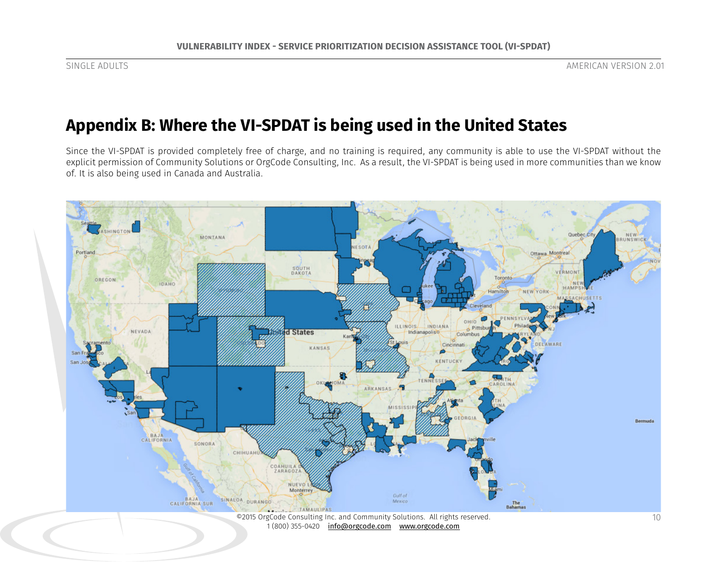# **Appendix B: Where the VI-SPDAT is being used in the United States**

Since the VI-SPDAT is provided completely free of charge, and no training is required, any community is able to use the VI-SPDAT without the explicit permission of Community Solutions or OrgCode Consulting, Inc. As a result, the VI-SPDAT is being used in more communities than we know of. It is also being used in Canada and Australia.



1 (800) 355-0420 info@orgcode.com www.orgcode.com